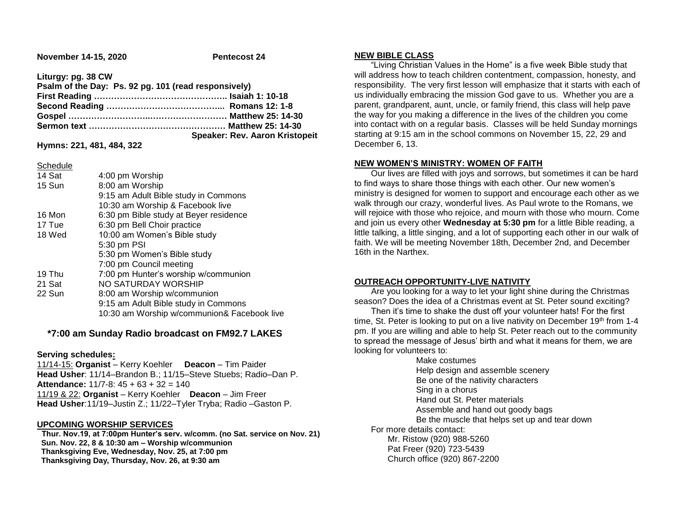**November 14-15, 2020** Pentecost 24

**Liturgy: pg. 38 CW**

| Psalm of the Day: Ps. 92 pg. 101 (read responsively) |                                       |
|------------------------------------------------------|---------------------------------------|
|                                                      |                                       |
|                                                      |                                       |
|                                                      |                                       |
|                                                      |                                       |
|                                                      | <b>Speaker: Rev. Aaron Kristopeit</b> |

**Hymns: 221, 481, 484, 322**

**Schedule** 

| 14 Sat | 4:00 pm Worship                             |
|--------|---------------------------------------------|
| 15 Sun | 8:00 am Worship                             |
|        | 9:15 am Adult Bible study in Commons        |
|        | 10:30 am Worship & Facebook live            |
| 16 Mon | 6:30 pm Bible study at Beyer residence      |
| 17 Tue | 6:30 pm Bell Choir practice                 |
| 18 Wed | 10:00 am Women's Bible study                |
|        | 5:30 pm PSI                                 |
|        | 5:30 pm Women's Bible study                 |
|        | 7:00 pm Council meeting                     |
| 19 Thu | 7:00 pm Hunter's worship w/communion        |
| 21 Sat | NO SATURDAY WORSHIP                         |
| 22 Sun | 8:00 am Worship w/communion                 |
|        | 9:15 am Adult Bible study in Commons        |
|        | 10:30 am Worship w/communion& Facebook live |
|        |                                             |

# **\*7:00 am Sunday Radio broadcast on FM92.7 LAKES**

### **Serving schedules:**

11/14-15: **Organist** – Kerry Koehler **Deacon** – Tim Paider **Head Usher**: 11/14–Brandon B.; 11/15–Steve Stuebs; Radio–Dan P. **Attendance:** 11/7-8: 45 + 63 + 32 = 140 11/19 & 22: **Organist** – Kerry Koehler **Deacon** – Jim Freer **Head Usher**:11/19–Justin Z.; 11/22–Tyler Tryba; Radio –Gaston P.

## **UPCOMING WORSHIP SERVICES**

 **Thur. Nov.19, at 7:00pm Hunter's serv. w/comm. (no Sat. service on Nov. 21) Sun. Nov. 22, 8 & 10:30 am – Worship w/communion Thanksgiving Eve, Wednesday, Nov. 25, at 7:00 pm Thanksgiving Day, Thursday, Nov. 26, at 9:30 am**

### **NEW BIBLE CLASS**

 "Living Christian Values in the Home" is a five week Bible study that will address how to teach children contentment, compassion, honesty, and responsibility. The very first lesson will emphasize that it starts with each of us individually embracing the mission God gave to us. Whether you are a parent, grandparent, aunt, uncle, or family friend, this class will help pave the way for you making a difference in the lives of the children you come into contact with on a regular basis. Classes will be held Sunday mornings starting at 9:15 am in the school commons on November 15, 22, 29 and December 6, 13.

### **NEW WOMEN'S MINISTRY: WOMEN OF FAITH**

 Our lives are filled with joys and sorrows, but sometimes it can be hard to find ways to share those things with each other. Our new women's ministry is designed for women to support and encourage each other as we walk through our crazy, wonderful lives. As Paul wrote to the Romans, we will rejoice with those who rejoice, and mourn with those who mourn. Come and join us every other **Wednesday at 5:30 pm** for a little Bible reading, a little talking, a little singing, and a lot of supporting each other in our walk of faith. We will be meeting November 18th, December 2nd, and December 16th in the Narthex.

### **OUTREACH OPPORTUNITY-LIVE NATIVITY**

 Are you looking for a way to let your light shine during the Christmas season? Does the idea of a Christmas event at St. Peter sound exciting?

 Then it's time to shake the dust off your volunteer hats! For the first time, St. Peter is looking to put on a live nativity on December  $19<sup>th</sup>$  from 1-4 pm. If you are willing and able to help St. Peter reach out to the community to spread the message of Jesus' birth and what it means for them, we are looking for volunteers to:

Make costumes Help design and assemble scenery Be one of the nativity characters Sing in a chorus Hand out St. Peter materials Assemble and hand out goody bags Be the muscle that helps set up and tear down For more details contact: Mr. Ristow (920) 988-5260 Pat Freer (920) 723-5439 Church office (920) 867-2200